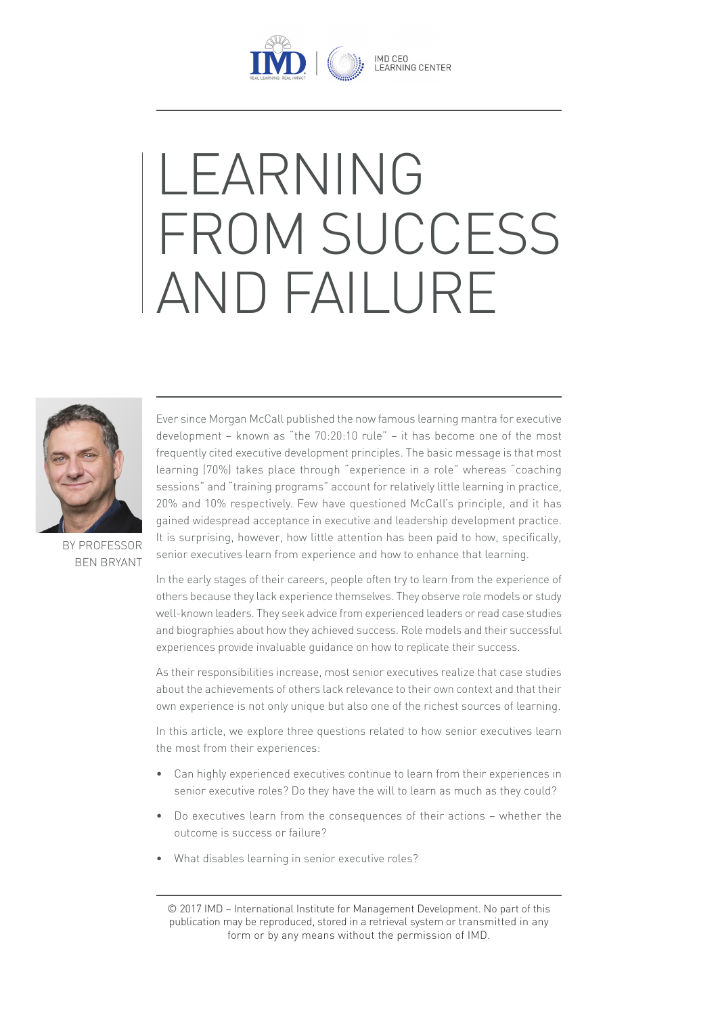

# LEARNING FROM SUCCESS AND FAILURE



BY PROFESSOR BEN BRYANT Ever since Morgan McCall published the now famous learning mantra for executive development – known as "the 70:20:10 rule" – it has become one of the most frequently cited executive development principles. The basic message is that most learning (70%) takes place through "experience in a role" whereas "coaching sessions" and "training programs" account for relatively little learning in practice, 20% and 10% respectively. Few have questioned McCall's principle, and it has gained widespread acceptance in executive and leadership development practice. It is surprising, however, how little attention has been paid to how, specifically, senior executives learn from experience and how to enhance that learning.

In the early stages of their careers, people often try to learn from the experience of others because they lack experience themselves. They observe role models or study well-known leaders. They seek advice from experienced leaders or read case studies and biographies about how they achieved success. Role models and their successful experiences provide invaluable guidance on how to replicate their success.

As their responsibilities increase, most senior executives realize that case studies about the achievements of others lack relevance to their own context and that their own experience is not only unique but also one of the richest sources of learning.

In this article, we explore three questions related to how senior executives learn the most from their experiences:

- Can highly experienced executives continue to learn from their experiences in senior executive roles? Do they have the will to learn as much as they could?
- Do executives learn from the consequences of their actions whether the outcome is success or failure?
- What disables learning in senior executive roles?

© 2017 IMD – International Institute for Management Development. No part of this publication may be reproduced, stored in a retrieval system or transmitted in any form or by any means without the permission of IMD.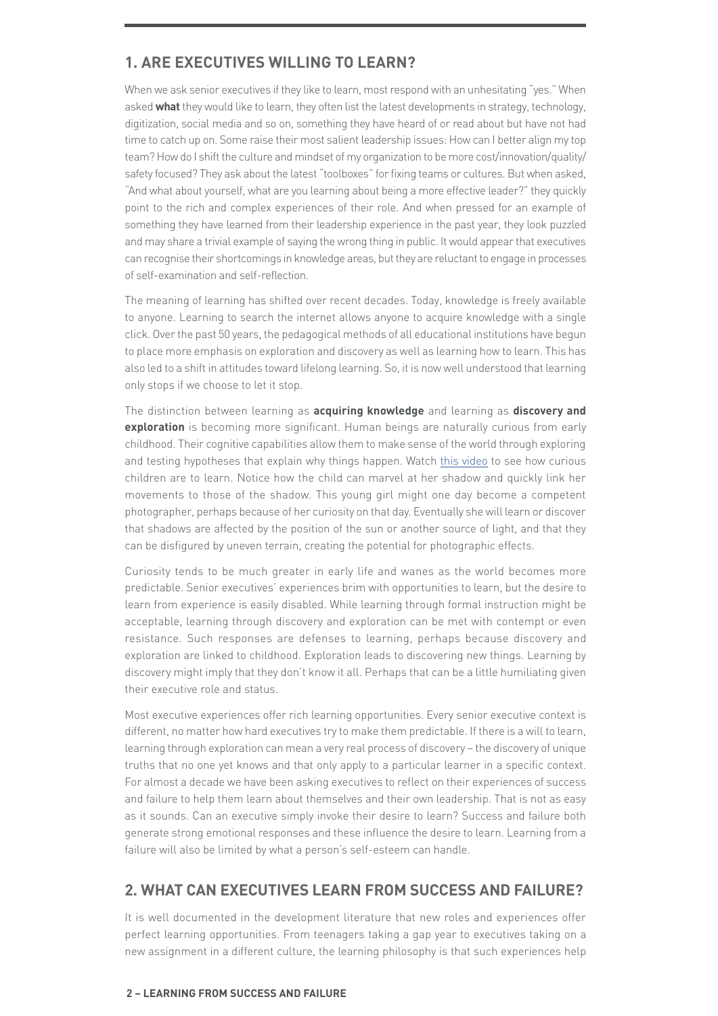# **1. ARE EXECUTIVES WILLING TO LEARN?**

When we ask senior executives if they like to learn, most respond with an unhesitating "yes." When asked **what** they would like to learn, they often list the latest developments in strategy, technology, digitization, social media and so on, something they have heard of or read about but have not had time to catch up on. Some raise their most salient leadership issues: How can I better align my top team? How do I shift the culture and mindset of my organization to be more cost/innovation/quality/ safety focused? They ask about the latest "toolboxes" for fixing teams or cultures. But when asked, "And what about yourself, what are you learning about being a more effective leader?" they quickly point to the rich and complex experiences of their role. And when pressed for an example of something they have learned from their leadership experience in the past year, they look puzzled and may share a trivial example of saying the wrong thing in public. It would appear that executives can recognise their shortcomings in knowledge areas, but they are reluctant to engage in processes of self-examination and self-reflection.

The meaning of learning has shifted over recent decades. Today, knowledge is freely available to anyone. Learning to search the internet allows anyone to acquire knowledge with a single click. Over the past 50 years, the pedagogical methods of all educational institutions have begun to place more emphasis on exploration and discovery as well as learning how to learn. This has also led to a shift in attitudes toward lifelong learning. So, it is now well understood that learning only stops if we choose to let it stop.

The distinction between learning as **acquiring knowledge** and learning as **discovery and exploration** is becoming more significant. Human beings are naturally curious from early childhood. Their cognitive capabilities allow them to make sense of the world through exploring and testing hypotheses that explain why things happen. Watch this video to see how curious children are to learn. Notice how the child can marvel at her shadow and quickly link her movements to those of the shadow. This young girl might one day become a competent photographer, perhaps because of her curiosity on that day. Eventually she will learn or discover that shadows are affected by the position of the sun or another source of light, and that they can be disfigured by uneven terrain, creating the potential for photographic effects.

Curiosity tends to be much greater in early life and wanes as the world becomes more predictable. Senior executives' experiences brim with opportunities to learn, but the desire to learn from experience is easily disabled. While learning through formal instruction might be acceptable, learning through discovery and exploration can be met with contempt or even resistance. Such responses are defenses to learning, perhaps because discovery and exploration are linked to childhood. Exploration leads to discovering new things. Learning by discovery might imply that they don't know it all. Perhaps that can be a little humiliating given their executive role and status.

Most executive experiences offer rich learning opportunities. Every senior executive context is different, no matter how hard executives try to make them predictable. If there is a will to learn, learning through exploration can mean a very real process of discovery – the discovery of unique truths that no one yet knows and that only apply to a particular learner in a specific context. For almost a decade we have been asking executives to reflect on their experiences of success and failure to help them learn about themselves and their own leadership. That is not as easy as it sounds. Can an executive simply invoke their desire to learn? Success and failure both generate strong emotional responses and these influence the desire to learn. Learning from a failure will also be limited by what a person's self-esteem can handle.

### **2. WHAT CAN EXECUTIVES LEARN FROM SUCCESS AND FAILURE?**

It is well documented in the development literature that new roles and experiences offer perfect learning opportunities. From teenagers taking a gap year to executives taking on a new assignment in a different culture, the learning philosophy is that such experiences help

#### **2 – LEARNING FROM SUCCESS AND FAILURE**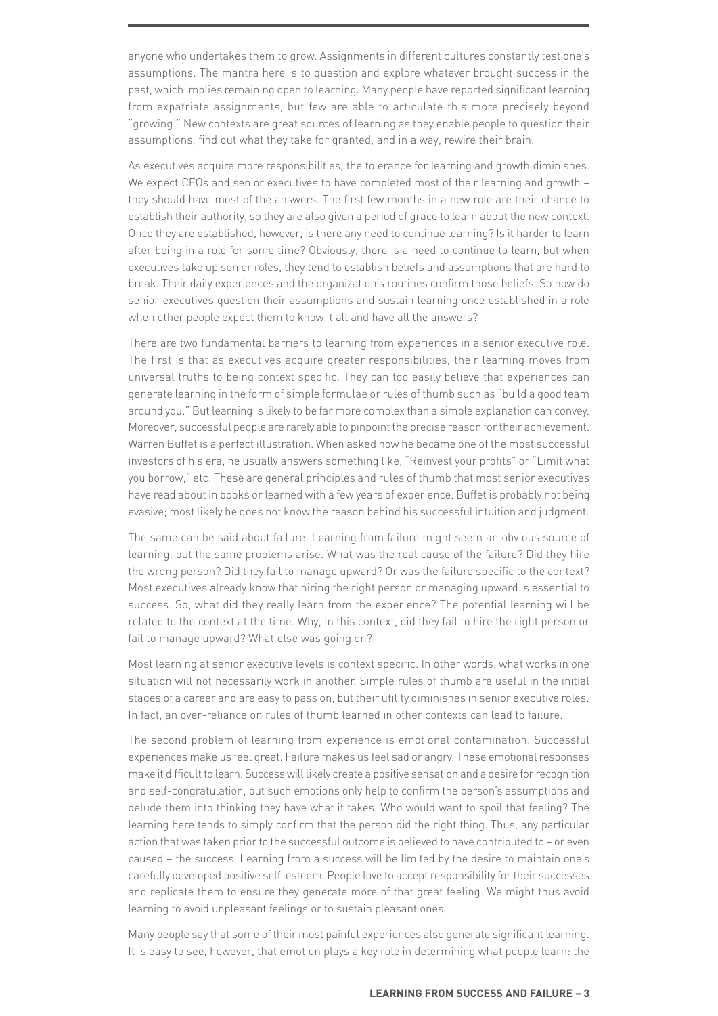anyone who undertakes them to grow. Assignments in different cultures constantly test one's assumptions. The mantra here is to question and explore whatever brought success in the past, which implies remaining open to learning. Many people have reported significant learning from expatriate assignments, but few are able to articulate this more precisely beyond "growing." New contexts are great sources of learning as they enable people to question their assumptions, find out what they take for granted, and in a way, rewire their brain.

As executives acquire more responsibilities, the tolerance for learning and growth diminishes. We expect CEOs and senior executives to have completed most of their learning and growth they should have most of the answers. The first few months in a new role are their chance to establish their authority, so they are also given a period of grace to learn about the new context. Once they are established, however, is there any need to continue learning? Is it harder to learn after being in a role for some time? Obviously, there is a need to continue to learn, but when executives take up senior roles, they tend to establish beliefs and assumptions that are hard to break. Their daily experiences and the organization's routines confirm those beliefs. So how do senior executives question their assumptions and sustain learning once established in a role when other people expect them to know it all and have all the answers?

There are two fundamental barriers to learning from experiences in a senior executive role. The first is that as executives acquire greater responsibilities, their learning moves from universal truths to being context specific. They can too easily believe that experiences can generate learning in the form of simple formulae or rules of thumb such as "build a good team around you." But learning is likely to be far more complex than a simple explanation can convey. Moreover, successful people are rarely able to pinpoint the precise reason for their achievement. Warren Buffet is a perfect illustration. When asked how he became one of the most successful investors of his era, he usually answers something like, "Reinvest your profits" or "Limit what you borrow," etc. These are general principles and rules of thumb that most senior executives have read about in books or learned with a few years of experience. Buffet is probably not being evasive; most likely he does not know the reason behind his successful intuition and judgment.

The same can be said about failure. Learning from failure might seem an obvious source of learning, but the same problems arise. What was the real cause of the failure? Did they hire the wrong person? Did they fail to manage upward? Or was the failure specific to the context? Most executives already know that hiring the right person or managing upward is essential to success. So, what did they really learn from the experience? The potential learning will be related to the context at the time. Why, in this context, did they fail to hire the right person or fail to manage upward? What else was going on?

Most learning at senior executive levels is context specific. In other words, what works in one situation will not necessarily work in another. Simple rules of thumb are useful in the initial stages of a career and are easy to pass on, but their utility diminishes in senior executive roles. In fact, an over-reliance on rules of thumb learned in other contexts can lead to failure.

The second problem of learning from experience is emotional contamination. Successful experiences make us feel great. Failure makes us feel sad or angry. These emotional responses make it difficult to learn. Success will likely create a positive sensation and a desire for recognition and self-congratulation, but such emotions only help to confirm the person's assumptions and delude them into thinking they have what it takes. Who would want to spoil that feeling? The learning here tends to simply confirm that the person did the right thing. Thus, any particular action that was taken prior to the successful outcome is believed to have contributed to – or even caused – the success. Learning from a success will be limited by the desire to maintain one's carefully developed positive self-esteem. People love to accept responsibility for their successes and replicate them to ensure they generate more of that great feeling. We might thus avoid learning to avoid unpleasant feelings or to sustain pleasant ones.

Many people say that some of their most painful experiences also generate significant learning. It is easy to see, however, that emotion plays a key role in determining what people learn: the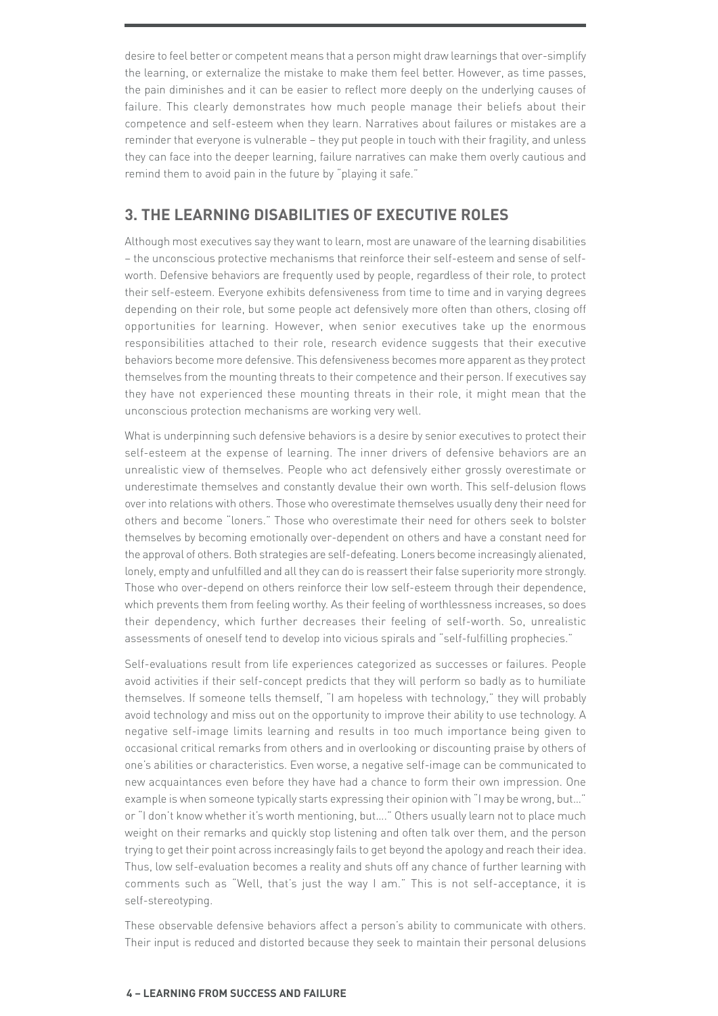desire to feel better or competent means that a person might draw learnings that over-simplify the learning, or externalize the mistake to make them feel better. However, as time passes, the pain diminishes and it can be easier to reflect more deeply on the underlying causes of failure. This clearly demonstrates how much people manage their beliefs about their competence and self-esteem when they learn. Narratives about failures or mistakes are a reminder that everyone is vulnerable – they put people in touch with their fragility, and unless they can face into the deeper learning, failure narratives can make them overly cautious and remind them to avoid pain in the future by "playing it safe."

## **3. THE LEARNING DISABILITIES OF EXECUTIVE ROLES**

Although most executives say they want to learn, most are unaware of the learning disabilities – the unconscious protective mechanisms that reinforce their self-esteem and sense of selfworth. Defensive behaviors are frequently used by people, regardless of their role, to protect their self-esteem. Everyone exhibits defensiveness from time to time and in varying degrees depending on their role, but some people act defensively more often than others, closing off opportunities for learning. However, when senior executives take up the enormous responsibilities attached to their role, research evidence suggests that their executive behaviors become more defensive. This defensiveness becomes more apparent as they protect themselves from the mounting threats to their competence and their person. If executives say they have not experienced these mounting threats in their role, it might mean that the unconscious protection mechanisms are working very well.

What is underpinning such defensive behaviors is a desire by senior executives to protect their self-esteem at the expense of learning. The inner drivers of defensive behaviors are an unrealistic view of themselves. People who act defensively either grossly overestimate or underestimate themselves and constantly devalue their own worth. This self-delusion flows over into relations with others. Those who overestimate themselves usually deny their need for others and become "loners." Those who overestimate their need for others seek to bolster themselves by becoming emotionally over-dependent on others and have a constant need for the approval of others. Both strategies are self-defeating. Loners become increasingly alienated, lonely, empty and unfulfilled and all they can do is reassert their false superiority more strongly. Those who over-depend on others reinforce their low self-esteem through their dependence, which prevents them from feeling worthy. As their feeling of worthlessness increases, so does their dependency, which further decreases their feeling of self-worth. So, unrealistic assessments of oneself tend to develop into vicious spirals and "self-fulfilling prophecies."

Self-evaluations result from life experiences categorized as successes or failures. People avoid activities if their self-concept predicts that they will perform so badly as to humiliate themselves. If someone tells themself, "I am hopeless with technology," they will probably avoid technology and miss out on the opportunity to improve their ability to use technology. A negative self-image limits learning and results in too much importance being given to occasional critical remarks from others and in overlooking or discounting praise by others of one's abilities or characteristics. Even worse, a negative self-image can be communicated to new acquaintances even before they have had a chance to form their own impression. One example is when someone typically starts expressing their opinion with "I may be wrong, but…" or "I don't know whether it's worth mentioning, but…." Others usually learn not to place much weight on their remarks and quickly stop listening and often talk over them, and the person trying to get their point across increasingly fails to get beyond the apology and reach their idea. Thus, low self-evaluation becomes a reality and shuts off any chance of further learning with comments such as "Well, that's just the way I am." This is not self-acceptance, it is self-stereotyping.

These observable defensive behaviors affect a person's ability to communicate with others. Their input is reduced and distorted because they seek to maintain their personal delusions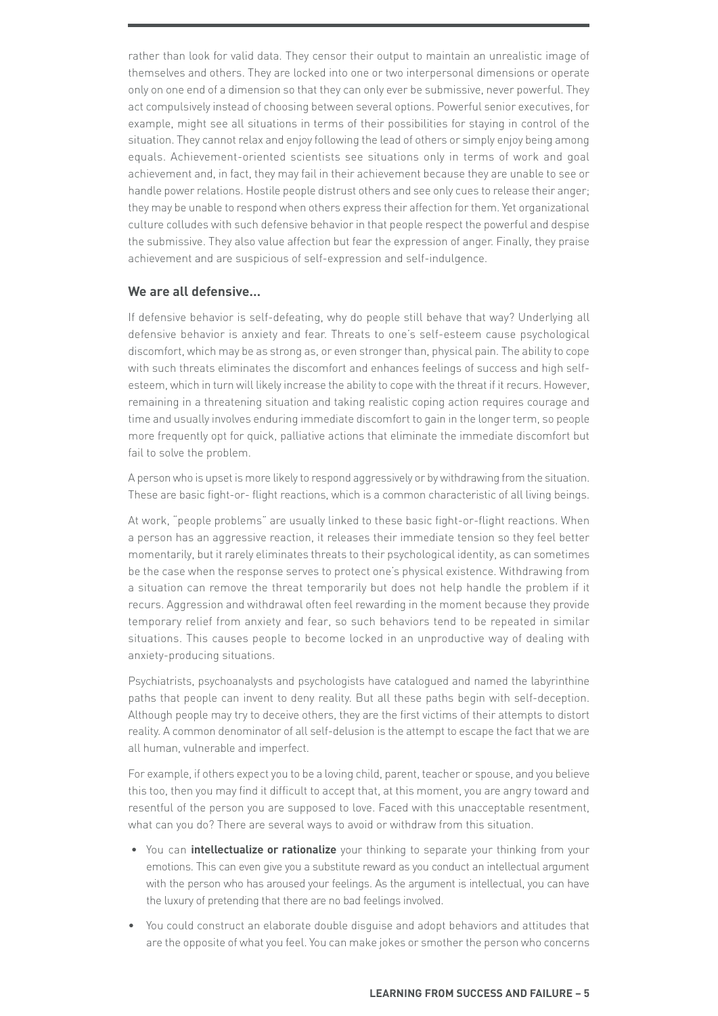rather than look for valid data. They censor their output to maintain an unrealistic image of themselves and others. They are locked into one or two interpersonal dimensions or operate only on one end of a dimension so that they can only ever be submissive, never powerful. They act compulsively instead of choosing between several options. Powerful senior executives, for example, might see all situations in terms of their possibilities for staying in control of the situation. They cannot relax and enjoy following the lead of others or simply enjoy being among equals. Achievement-oriented scientists see situations only in terms of work and goal achievement and, in fact, they may fail in their achievement because they are unable to see or handle power relations. Hostile people distrust others and see only cues to release their anger; they may be unable to respond when others express their affection for them. Yet organizational culture colludes with such defensive behavior in that people respect the powerful and despise the submissive. They also value affection but fear the expression of anger. Finally, they praise achievement and are suspicious of self-expression and self-indulgence.

#### **We are all defensive…**

If defensive behavior is self-defeating, why do people still behave that way? Underlying all defensive behavior is anxiety and fear. Threats to one's self-esteem cause psychological discomfort, which may be as strong as, or even stronger than, physical pain. The ability to cope with such threats eliminates the discomfort and enhances feelings of success and high selfesteem, which in turn will likely increase the ability to cope with the threat if it recurs. However, remaining in a threatening situation and taking realistic coping action requires courage and time and usually involves enduring immediate discomfort to gain in the longer term, so people more frequently opt for quick, palliative actions that eliminate the immediate discomfort but fail to solve the problem.

A person who is upset is more likely to respond aggressively or by withdrawing from the situation. These are basic fight-or- flight reactions, which is a common characteristic of all living beings.

At work, "people problems" are usually linked to these basic fight-or-flight reactions. When a person has an aggressive reaction, it releases their immediate tension so they feel better momentarily, but it rarely eliminates threats to their psychological identity, as can sometimes be the case when the response serves to protect one's physical existence. Withdrawing from a situation can remove the threat temporarily but does not help handle the problem if it recurs. Aggression and withdrawal often feel rewarding in the moment because they provide temporary relief from anxiety and fear, so such behaviors tend to be repeated in similar situations. This causes people to become locked in an unproductive way of dealing with anxiety-producing situations.

Psychiatrists, psychoanalysts and psychologists have catalogued and named the labyrinthine paths that people can invent to deny reality. But all these paths begin with self-deception. Although people may try to deceive others, they are the first victims of their attempts to distort reality. A common denominator of all self-delusion is the attempt to escape the fact that we are all human, vulnerable and imperfect.

For example, if others expect you to be a loving child, parent, teacher or spouse, and you believe this too, then you may find it difficult to accept that, at this moment, you are angry toward and resentful of the person you are supposed to love. Faced with this unacceptable resentment, what can you do? There are several ways to avoid or withdraw from this situation.

- You can **intellectualize or rationalize** your thinking to separate your thinking from your emotions. This can even give you a substitute reward as you conduct an intellectual argument with the person who has aroused your feelings. As the argument is intellectual, you can have the luxury of pretending that there are no bad feelings involved.
- You could construct an elaborate double disguise and adopt behaviors and attitudes that are the opposite of what you feel. You can make jokes or smother the person who concerns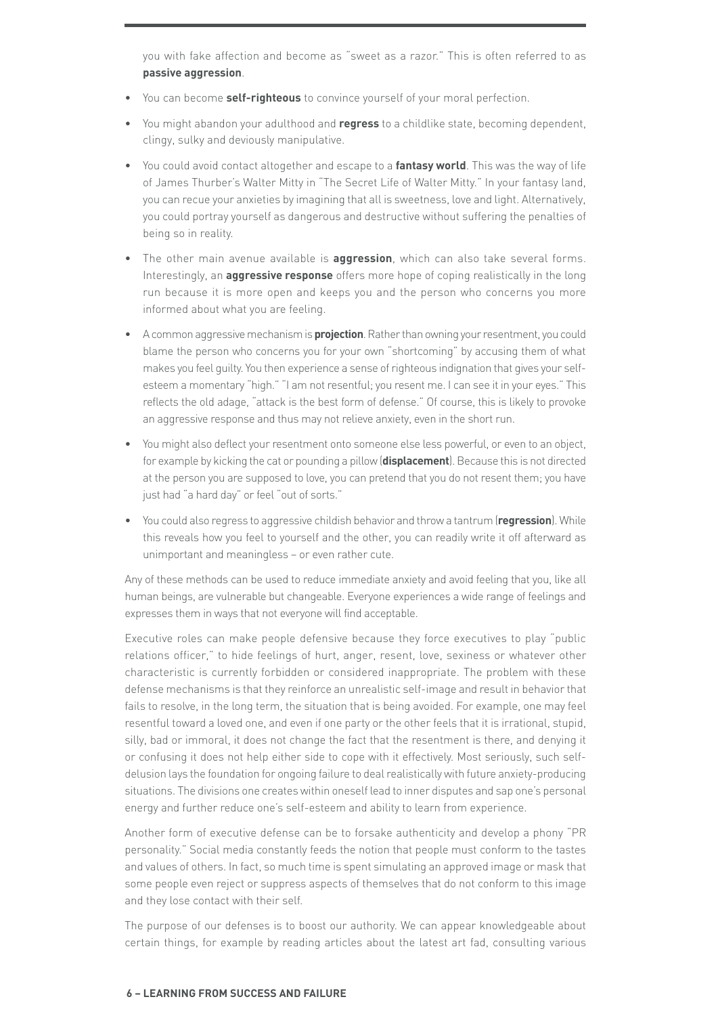you with fake affection and become as "sweet as a razor." This is often referred to as **passive aggression**.

- You can become **self-righteous** to convince yourself of your moral perfection.
- You might abandon your adulthood and **regress** to a childlike state, becoming dependent, clingy, sulky and deviously manipulative.
- You could avoid contact altogether and escape to a **fantasy world**. This was the way of life of James Thurber's Walter Mitty in "The Secret Life of Walter Mitty." In your fantasy land, you can recue your anxieties by imagining that all is sweetness, love and light. Alternatively, you could portray yourself as dangerous and destructive without suffering the penalties of being so in reality.
- The other main avenue available is **aggression**, which can also take several forms. Interestingly, an **aggressive response** offers more hope of coping realistically in the long run because it is more open and keeps you and the person who concerns you more informed about what you are feeling.
- A common aggressive mechanism is **projection**. Rather than owning your resentment, you could blame the person who concerns you for your own "shortcoming" by accusing them of what makes you feel guilty. You then experience a sense of righteous indignation that gives your selfesteem a momentary "high." "I am not resentful; you resent me. I can see it in your eyes." This reflects the old adage, "attack is the best form of defense." Of course, this is likely to provoke an aggressive response and thus may not relieve anxiety, even in the short run.
- You might also deflect your resentment onto someone else less powerful, or even to an object, for example by kicking the cat or pounding a pillow (**displacement**). Because this is not directed at the person you are supposed to love, you can pretend that you do not resent them; you have just had "a hard day" or feel "out of sorts."
- You could also regress to aggressive childish behavior and throw a tantrum (**regression**). While this reveals how you feel to yourself and the other, you can readily write it off afterward as unimportant and meaningless – or even rather cute.

Any of these methods can be used to reduce immediate anxiety and avoid feeling that you, like all human beings, are vulnerable but changeable. Everyone experiences a wide range of feelings and expresses them in ways that not everyone will find acceptable.

Executive roles can make people defensive because they force executives to play "public relations officer," to hide feelings of hurt, anger, resent, love, sexiness or whatever other characteristic is currently forbidden or considered inappropriate. The problem with these defense mechanisms is that they reinforce an unrealistic self-image and result in behavior that fails to resolve, in the long term, the situation that is being avoided. For example, one may feel resentful toward a loved one, and even if one party or the other feels that it is irrational, stupid, silly, bad or immoral, it does not change the fact that the resentment is there, and denying it or confusing it does not help either side to cope with it effectively. Most seriously, such selfdelusion lays the foundation for ongoing failure to deal realistically with future anxiety-producing situations. The divisions one creates within oneself lead to inner disputes and sap one's personal energy and further reduce one's self-esteem and ability to learn from experience.

Another form of executive defense can be to forsake authenticity and develop a phony "PR personality." Social media constantly feeds the notion that people must conform to the tastes and values of others. In fact, so much time is spent simulating an approved image or mask that some people even reject or suppress aspects of themselves that do not conform to this image and they lose contact with their self.

The purpose of our defenses is to boost our authority. We can appear knowledgeable about certain things, for example by reading articles about the latest art fad, consulting various

#### **6 – LEARNING FROM SUCCESS AND FAILURE**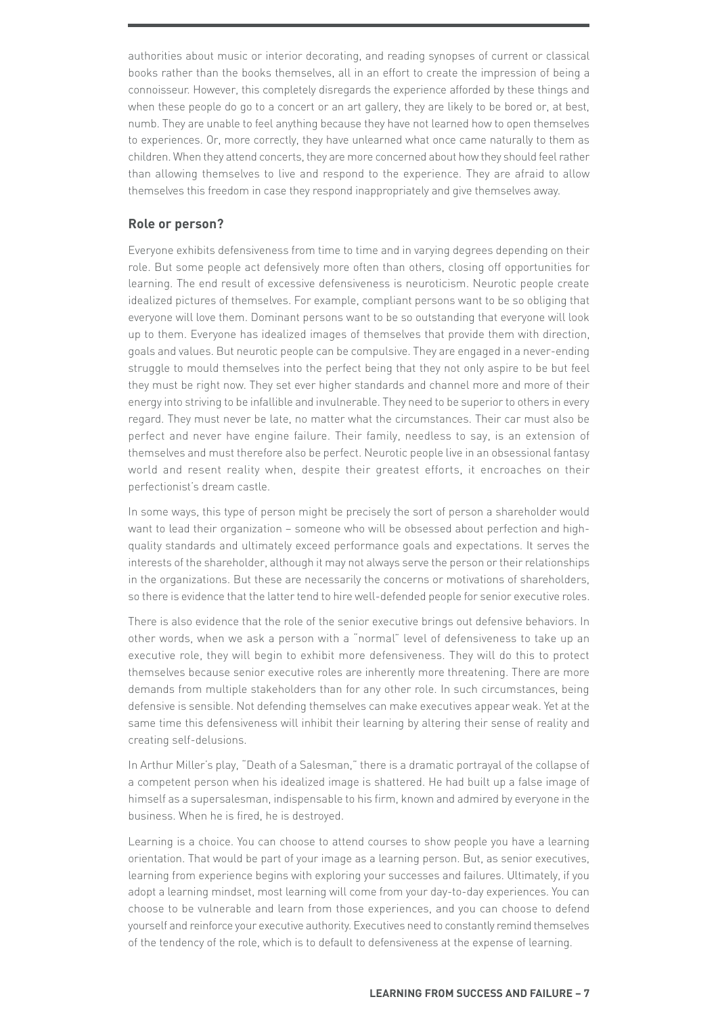authorities about music or interior decorating, and reading synopses of current or classical books rather than the books themselves, all in an effort to create the impression of being a connoisseur. However, this completely disregards the experience afforded by these things and when these people do go to a concert or an art gallery, they are likely to be bored or, at best, numb. They are unable to feel anything because they have not learned how to open themselves to experiences. Or, more correctly, they have unlearned what once came naturally to them as children. When they attend concerts, they are more concerned about how they should feel rather than allowing themselves to live and respond to the experience. They are afraid to allow themselves this freedom in case they respond inappropriately and give themselves away.

#### **Role or person?**

Everyone exhibits defensiveness from time to time and in varying degrees depending on their role. But some people act defensively more often than others, closing off opportunities for learning. The end result of excessive defensiveness is neuroticism. Neurotic people create idealized pictures of themselves. For example, compliant persons want to be so obliging that everyone will love them. Dominant persons want to be so outstanding that everyone will look up to them. Everyone has idealized images of themselves that provide them with direction, goals and values. But neurotic people can be compulsive. They are engaged in a never-ending struggle to mould themselves into the perfect being that they not only aspire to be but feel they must be right now. They set ever higher standards and channel more and more of their energy into striving to be infallible and invulnerable. They need to be superior to others in every regard. They must never be late, no matter what the circumstances. Their car must also be perfect and never have engine failure. Their family, needless to say, is an extension of themselves and must therefore also be perfect. Neurotic people live in an obsessional fantasy world and resent reality when, despite their greatest efforts, it encroaches on their perfectionist's dream castle.

In some ways, this type of person might be precisely the sort of person a shareholder would want to lead their organization – someone who will be obsessed about perfection and highquality standards and ultimately exceed performance goals and expectations. It serves the interests of the shareholder, although it may not always serve the person or their relationships in the organizations. But these are necessarily the concerns or motivations of shareholders, so there is evidence that the latter tend to hire well-defended people for senior executive roles.

There is also evidence that the role of the senior executive brings out defensive behaviors. In other words, when we ask a person with a "normal" level of defensiveness to take up an executive role, they will begin to exhibit more defensiveness. They will do this to protect themselves because senior executive roles are inherently more threatening. There are more demands from multiple stakeholders than for any other role. In such circumstances, being defensive is sensible. Not defending themselves can make executives appear weak. Yet at the same time this defensiveness will inhibit their learning by altering their sense of reality and creating self-delusions.

In Arthur Miller's play, "Death of a Salesman," there is a dramatic portrayal of the collapse of a competent person when his idealized image is shattered. He had built up a false image of himself as a supersalesman, indispensable to his firm, known and admired by everyone in the business. When he is fired, he is destroyed.

Learning is a choice. You can choose to attend courses to show people you have a learning orientation. That would be part of your image as a learning person. But, as senior executives, learning from experience begins with exploring your successes and failures. Ultimately, if you adopt a learning mindset, most learning will come from your day-to-day experiences. You can choose to be vulnerable and learn from those experiences, and you can choose to defend yourself and reinforce your executive authority. Executives need to constantly remind themselves of the tendency of the role, which is to default to defensiveness at the expense of learning.